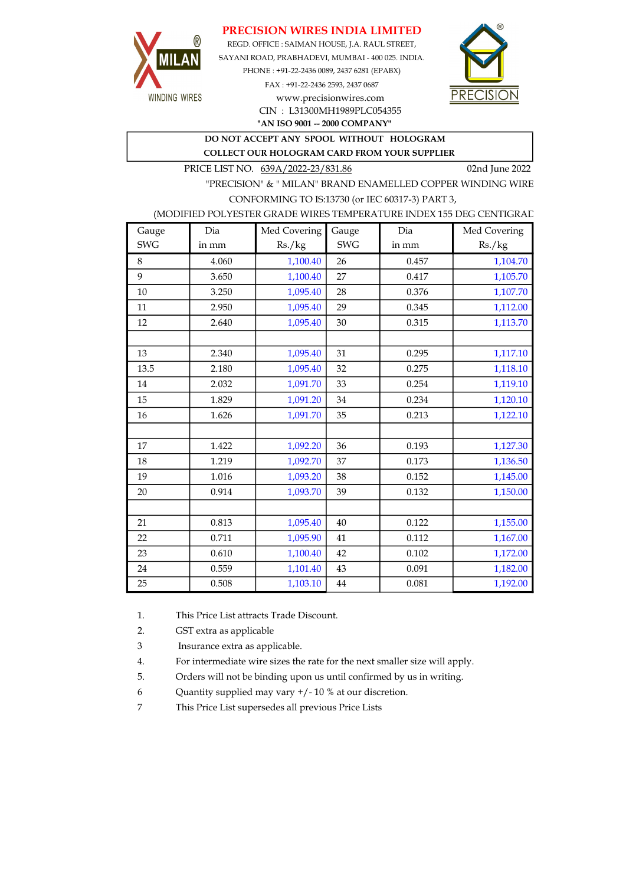## PRECISION WIRES INDIA LIMITED



REGD. OFFICE : SAIMAN HOUSE, J.A. RAUL STREET, SAYANI ROAD, PRABHADEVI, MUMBAI - 400 025. INDIA. PHONE : +91-22-2436 0089, 2437 6281 (EPABX) FAX : +91-22-2436 2593, 2437 0687 www.precisionwires.com



"AN ISO 9001 -- 2000 COMPANY" CIN : L31300MH1989PLC054355

DO NOT ACCEPT ANY SPOOL WITHOUT HOLOGRAM

COLLECT OUR HOLOGRAM CARD FROM YOUR SUPPLIER

PRICE LIST NO. 639A/2022-23/831.86 02nd June 2022

"PRECISION" & " MILAN" BRAND ENAMELLED COPPER WINDING WIRE CONFORMING TO IS:13730 (or IEC 60317-3) PART 3,

### (MODIFIED POLYESTER GRADE WIRES TEMPERATURE INDEX 155 DEG CENTIGRAD

| Gauge      | Dia   | Med Covering | Gauge      | Dia   | Med Covering |
|------------|-------|--------------|------------|-------|--------------|
| <b>SWG</b> | in mm | Rs./kg       | <b>SWG</b> | in mm | Rs./kg       |
| 8          | 4.060 | 1,100.40     | 26         | 0.457 | 1,104.70     |
| 9          | 3.650 | 1,100.40     | 27         | 0.417 | 1,105.70     |
| 10         | 3.250 | 1,095.40     | 28         | 0.376 | 1,107.70     |
| 11         | 2.950 | 1,095.40     | 29         | 0.345 | 1,112.00     |
| 12         | 2.640 | 1,095.40     | 30         | 0.315 | 1,113.70     |
|            |       |              |            |       |              |
| 13         | 2.340 | 1,095.40     | 31         | 0.295 | 1,117.10     |
| 13.5       | 2.180 | 1,095.40     | 32         | 0.275 | 1,118.10     |
| 14         | 2.032 | 1,091.70     | 33         | 0.254 | 1,119.10     |
| 15         | 1.829 | 1,091.20     | 34         | 0.234 | 1,120.10     |
| 16         | 1.626 | 1,091.70     | 35         | 0.213 | 1,122.10     |
|            |       |              |            |       |              |
| 17         | 1.422 | 1,092.20     | 36         | 0.193 | 1,127.30     |
| 18         | 1.219 | 1,092.70     | 37         | 0.173 | 1,136.50     |
| 19         | 1.016 | 1,093.20     | 38         | 0.152 | 1,145.00     |
| 20         | 0.914 | 1,093.70     | 39         | 0.132 | 1,150.00     |
|            |       |              |            |       |              |
| 21         | 0.813 | 1,095.40     | 40         | 0.122 | 1,155.00     |
| 22         | 0.711 | 1,095.90     | 41         | 0.112 | 1,167.00     |
| 23         | 0.610 | 1,100.40     | 42         | 0.102 | 1,172.00     |
| 24         | 0.559 | 1,101.40     | 43         | 0.091 | 1,182.00     |
| 25         | 0.508 | 1,103.10     | 44         | 0.081 | 1,192.00     |

1. This Price List attracts Trade Discount.

2. GST extra as applicable

3 Insurance extra as applicable.

4. For intermediate wire sizes the rate for the next smaller size will apply.

5. Orders will not be binding upon us until confirmed by us in writing.

6 Quantity supplied may vary +/- 10 % at our discretion.

7 This Price List supersedes all previous Price Lists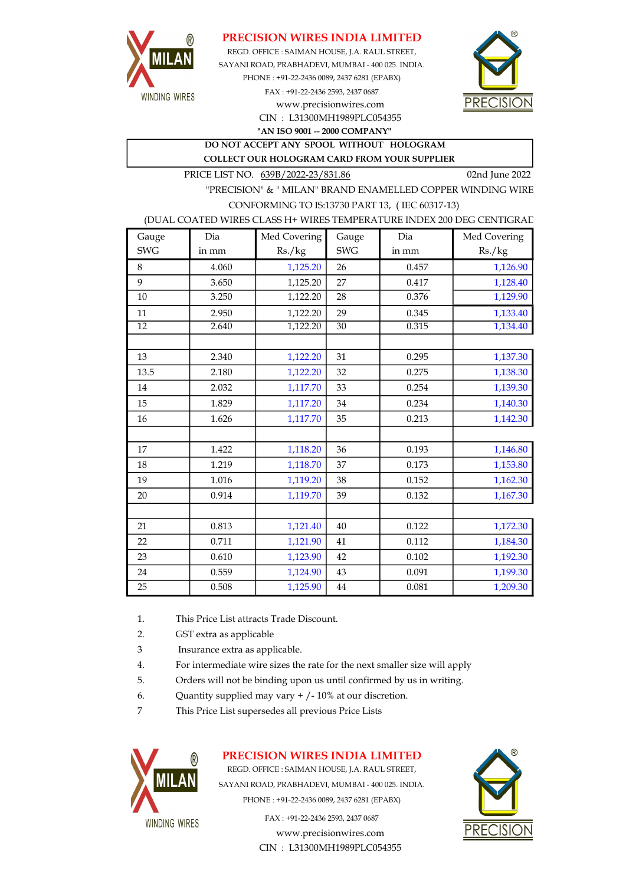

## PRECISION WIRES INDIA LIMITED

REGD. OFFICE : SAIMAN HOUSE, J.A. RAUL STREET, CIN : L31300MH1989PLC054355 SAYANI ROAD, PRABHADEVI, MUMBAI - 400 025. INDIA. PHONE : +91-22-2436 0089, 2437 6281 (EPABX) FAX : +91-22-2436 2593, 2437 0687 www.precisionwires.com



"AN ISO 9001 -- 2000 COMPANY"

DO NOT ACCEPT ANY SPOOL WITHOUT HOLOGRAM COLLECT OUR HOLOGRAM CARD FROM YOUR SUPPLIER

PRICE LIST NO. 639B/2022-23/831.86 02nd June 2022

"PRECISION" & " MILAN" BRAND ENAMELLED COPPER WINDING WIRE CONFORMING TO IS:13730 PART 13, ( IEC 60317-13)

#### (DUAL COATED WIRES CLASS H+ WIRES TEMPERATURE INDEX 200 DEG CENTIGRAD

| Gauge      | Dia   | Med Covering | Gauge      | Dia   | Med Covering |
|------------|-------|--------------|------------|-------|--------------|
| <b>SWG</b> | in mm | Rs./kg       | <b>SWG</b> | in mm | Rs./kg       |
| 8          | 4.060 | 1,125.20     | 26         | 0.457 | 1,126.90     |
| 9          | 3.650 | 1,125.20     | 27         | 0.417 | 1,128.40     |
| 10         | 3.250 | 1,122.20     | 28         | 0.376 | 1,129.90     |
| 11         | 2.950 | 1,122.20     | 29         | 0.345 | 1,133.40     |
| 12         | 2.640 | 1,122.20     | 30         | 0.315 | 1,134.40     |
|            |       |              |            |       |              |
| 13         | 2.340 | 1,122.20     | 31         | 0.295 | 1,137.30     |
| 13.5       | 2.180 | 1,122.20     | 32         | 0.275 | 1,138.30     |
| 14         | 2.032 | 1,117.70     | 33         | 0.254 | 1,139.30     |
| 15         | 1.829 | 1,117.20     | 34         | 0.234 | 1,140.30     |
| 16         | 1.626 | 1,117.70     | 35         | 0.213 | 1,142.30     |
|            |       |              |            |       |              |
| 17         | 1.422 | 1,118.20     | 36         | 0.193 | 1,146.80     |
| 18         | 1.219 | 1,118.70     | 37         | 0.173 | 1,153.80     |
| 19         | 1.016 | 1,119.20     | 38         | 0.152 | 1,162.30     |
| 20         | 0.914 | 1,119.70     | 39         | 0.132 | 1,167.30     |
|            |       |              |            |       |              |
| 21         | 0.813 | 1,121.40     | 40         | 0.122 | 1,172.30     |
| 22         | 0.711 | 1,121.90     | 41         | 0.112 | 1,184.30     |
| 23         | 0.610 | 1,123.90     | 42         | 0.102 | 1,192.30     |
| 24         | 0.559 | 1,124.90     | 43         | 0.091 | 1,199.30     |
| 25         | 0.508 | 1,125.90     | 44         | 0.081 | 1,209.30     |

- 1. This Price List attracts Trade Discount.
- 2. GST extra as applicable
- 3 Insurance extra as applicable.
- 4. For intermediate wire sizes the rate for the next smaller size will apply
- 5. Orders will not be binding upon us until confirmed by us in writing.
- 6. Quantity supplied may vary  $+/-10\%$  at our discretion.
- 7 This Price List supersedes all previous Price Lists



## PRECISION WIRES INDIA LIMITED

REGD. OFFICE : SAIMAN HOUSE, J.A. RAUL STREET, SAYANI ROAD, PRABHADEVI, MUMBAI - 400 025. INDIA. PHONE : +91-22-2436 0089, 2437 6281 (EPABX)

> www.precisionwires.com CIN : L31300MH1989PLC054355 FAX : +91-22-2436 2593, 2437 0687